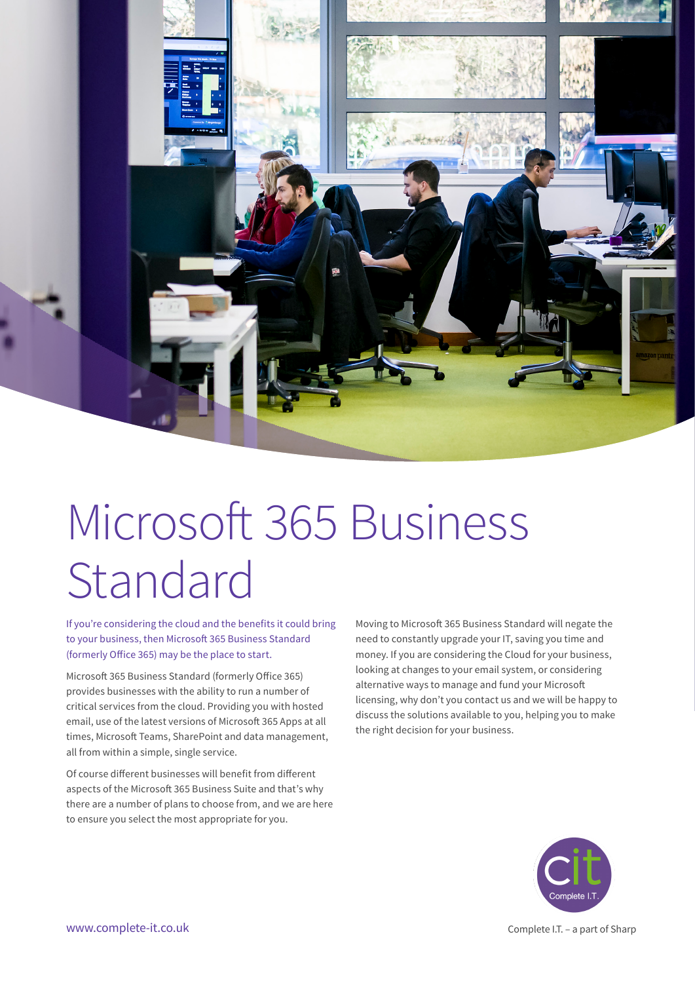

# Microsoft 365 Business Standard

If you're considering the cloud and the benefits it could bring to your business, then Microsoft 365 Business Standard (formerly Office 365) may be the place to start.

Microsoft 365 Business Standard (formerly Office 365) provides businesses with the ability to run a number of critical services from the cloud. Providing you with hosted email, use of the latest versions of Microsoft 365 Apps at all times, Microsoft Teams, SharePoint and data management, all from within a simple, single service.

Of course different businesses will benefit from different aspects of the Microsoft 365 Business Suite and that's why there are a number of plans to choose from, and we are here to ensure you select the most appropriate for you.

Moving to Microsoft 365 Business Standard will negate the need to constantly upgrade your IT, saving you time and money. If you are considering the Cloud for your business, looking at changes to your email system, or considering alternative ways to manage and fund your Microsoft licensing, why don't you contact us and we will be happy to discuss the solutions available to you, helping you to make the right decision for your business.



www.complete-it.co.uk Complete it.co.uk